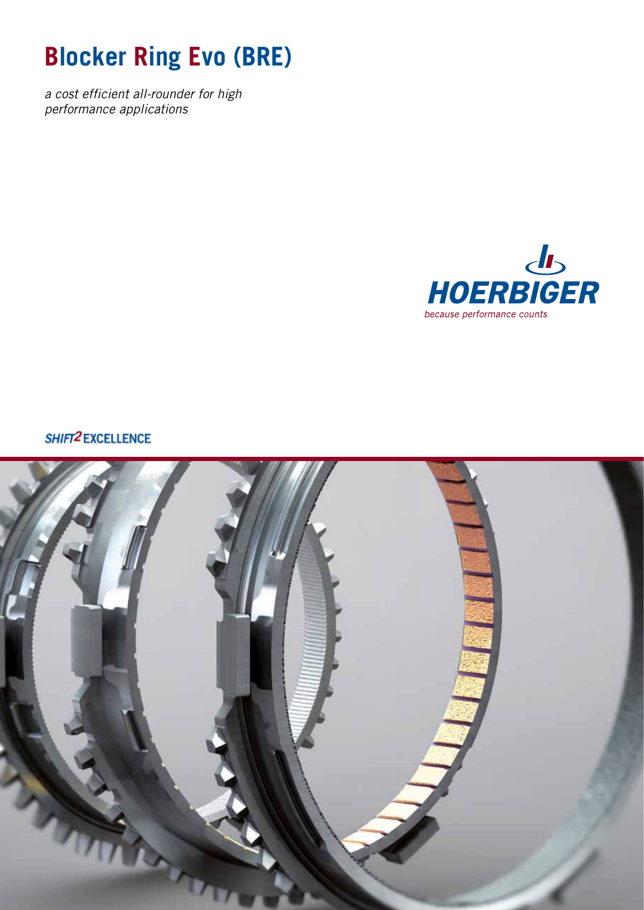# **Blocker Ring Evo (BRE)**

*a cost efficient all-rounder for high performance applications*



SHIFT2 EXCELLENCE

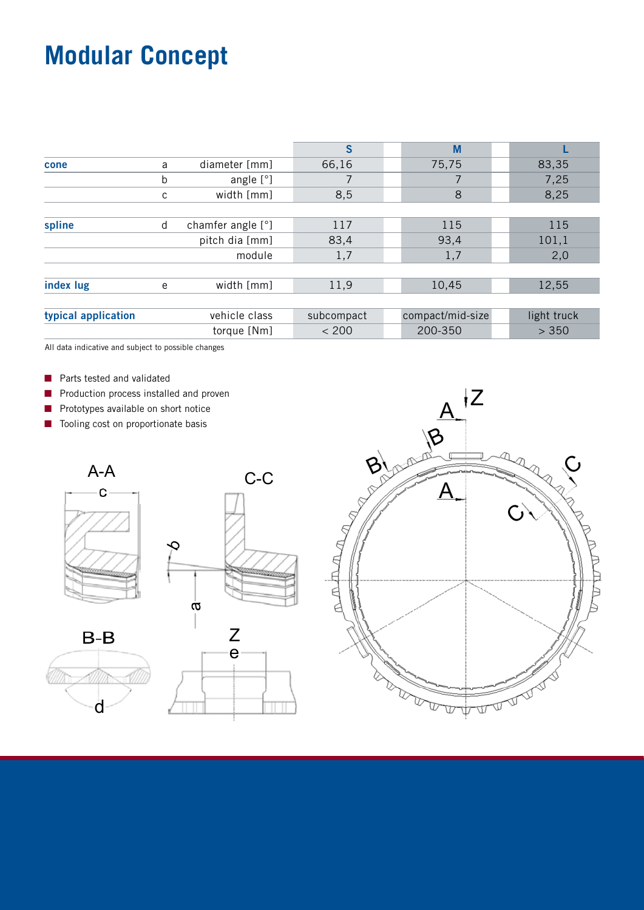# **Modular Concept**

| 83,35<br>7,25 |
|---------------|
|               |
|               |
|               |
| 8,25          |
|               |
| 115           |
| 101,1         |
| 2,0           |
|               |
| 12,55         |
|               |
| light truck   |
| > 350         |
|               |

All data indicative and subject to possible changes

- **n** Parts tested and validated
- **n** Production process installed and proven
- $\blacksquare$  Prototypes available on short notice
- Tooling cost on proportionate basis



d

 $B-B$ 



C-C

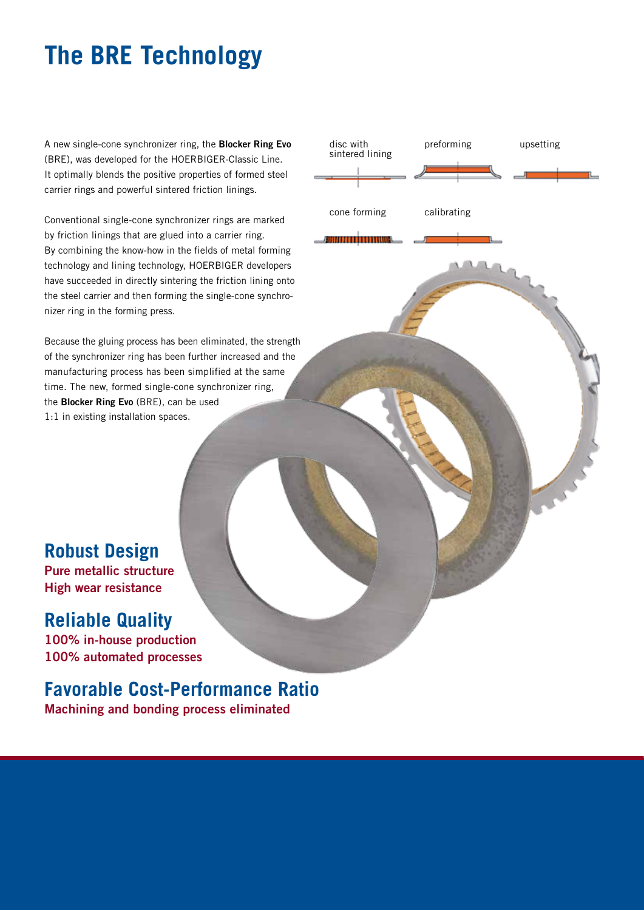# **The BRE Technology**

A new single-cone synchronizer ring, the **Blocker Ring Evo** (BRE), was developed for the HOERBIGER-Classic Line. It optimally blends the positive properties of formed steel carrier rings and powerful sintered friction linings.

Conventional single-cone synchronizer rings are marked by friction linings that are glued into a carrier ring. By combining the know-how in the fields of metal forming technology and lining technology, HOERBIGER developers have succeeded in directly sintering the friction lining onto the steel carrier and then forming the single-cone synchronizer ring in the forming press.

Because the gluing process has been eliminated, the strength of the synchronizer ring has been further increased and the manufacturing process has been simplified at the same time. The new, formed single-cone synchronizer ring, the **Blocker Ring Evo** (BRE), can be used 1:1 in existing installation spaces.



cone forming

<u> Aminimumu</u>

calibrating

**Robust Design**

**Pure metallic structure High wear resistance**

#### **Reliable Quality**

**100% in-house production 100% automated processes**

### **Favorable Cost-Performance Ratio**

**Machining and bonding process eliminated**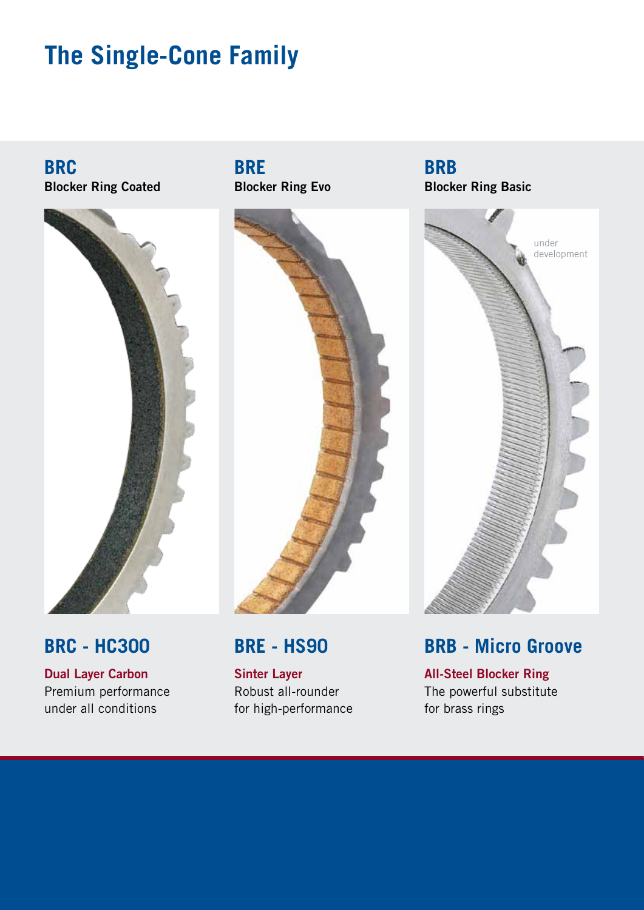### **The Single-Cone Family**

**BRC Blocker Ring Coated**



#### **BRC - HC300**

**Dual Layer Carbon** Premium performance under all conditions

**BRE Blocker Ring Evo**



#### **BRE - HS90**

**Sinter Layer** Robust all-rounder for high-performance

**BRB Blocker Ring Basic**



#### **BRB - Micro Groove**

**All-Steel Blocker Ring** The powerful substitute for brass rings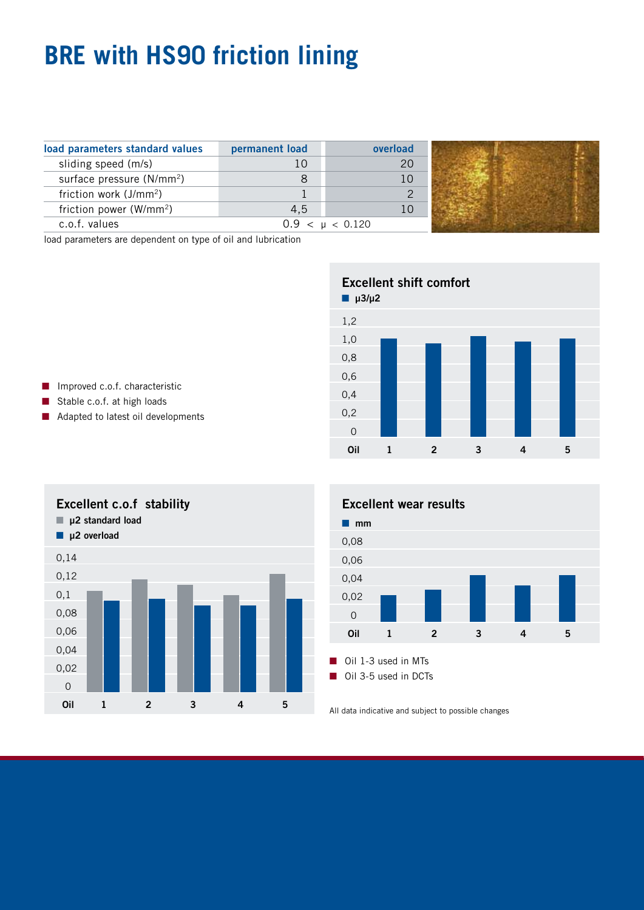# **BRE with HS90 friction lining**

| load parameters standard values       | permanent load | overload      |  |
|---------------------------------------|----------------|---------------|--|
| sliding speed (m/s)                   |                | 20            |  |
| surface pressure (N/mm <sup>2</sup> ) |                |               |  |
| friction work (J/mm <sup>2</sup> )    |                |               |  |
| friction power (W/mm <sup>2</sup> )   | 4.5            |               |  |
| c.o.f. values                         | 0.9 <          | $\mu$ < 0.120 |  |

load parameters are dependent on type of oil and lubrication



- $\blacksquare$  Improved c.o.f. characteristic
- Stable c.o.f. at high loads
- Adapted to latest oil developments





All data indicative and subject to possible changes